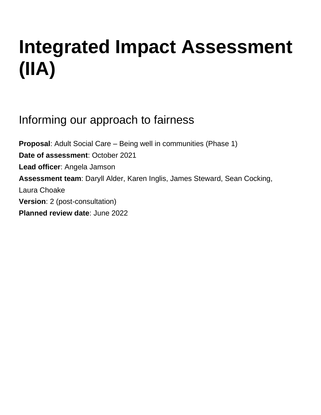# **Integrated Impact Assessment (IIA)**

Informing our approach to fairness

**Proposal**: Adult Social Care – Being well in communities (Phase 1) **Date of assessment**: October 2021 **Lead officer**: Angela Jamson **Assessment team**: Daryll Alder, Karen Inglis, James Steward, Sean Cocking, Laura Choake **Version**: 2 (post-consultation) **Planned review date**: June 2022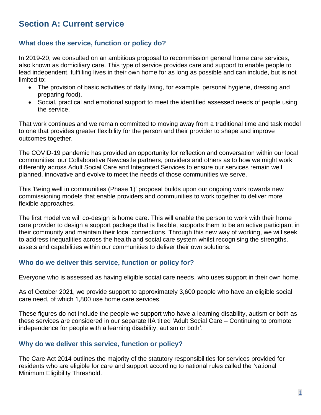# **Section A: Current service**

## **What does the service, function or policy do?**

In 2019-20, we consulted on an ambitious proposal to recommission general home care services, also known as domiciliary care. This type of service provides care and support to enable people to lead independent, fulfilling lives in their own home for as long as possible and can include, but is not limited to:

- The provision of basic activities of daily living, for example, personal hygiene, dressing and preparing food).
- Social, practical and emotional support to meet the identified assessed needs of people using the service.

That work continues and we remain committed to moving away from a traditional time and task model to one that provides greater flexibility for the person and their provider to shape and improve outcomes together.

The COVID-19 pandemic has provided an opportunity for reflection and conversation within our local communities, our Collaborative Newcastle partners, providers and others as to how we might work differently across Adult Social Care and Integrated Services to ensure our services remain well planned, innovative and evolve to meet the needs of those communities we serve.

This 'Being well in communities (Phase 1)' proposal builds upon our ongoing work towards new commissioning models that enable providers and communities to work together to deliver more flexible approaches.

The first model we will co-design is home care. This will enable the person to work with their home care provider to design a support package that is flexible, supports them to be an active participant in their community and maintain their local connections. Through this new way of working, we will seek to address inequalities across the health and social care system whilst recognising the strengths, assets and capabilities within our communities to deliver their own solutions.

## **Who do we deliver this service, function or policy for?**

Everyone who is assessed as having eligible social care needs, who uses support in their own home.

As of October 2021, we provide support to approximately 3,600 people who have an eligible social care need, of which 1,800 use home care services.

These figures do not include the people we support who have a learning disability, autism or both as these services are considered in our separate IIA titled 'Adult Social Care – Continuing to promote independence for people with a learning disability, autism or both'.

## **Why do we deliver this service, function or policy?**

The Care Act 2014 outlines the majority of the statutory responsibilities for services provided for residents who are eligible for care and support according to national rules called the National Minimum Eligibility Threshold.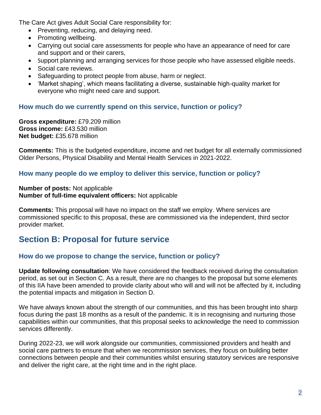The Care Act gives Adult Social Care responsibility for:

- Preventing, reducing, and delaying need.
- Promoting wellbeing.
- Carrying out social care assessments for people who have an appearance of need for care and support and or their carers,
- Support planning and arranging services for those people who have assessed eligible needs.
- Social care reviews.
- Safeguarding to protect people from abuse, harm or neglect.
- 'Market shaping', which means facilitating a diverse, sustainable high-quality market for everyone who might need care and support.

## **How much do we currently spend on this service, function or policy?**

**Gross expenditure:** £79.209 million **Gross income:** £43.530 million **Net budget:** £35.678 million

**Comments:** This is the budgeted expenditure, income and net budget for all externally commissioned Older Persons, Physical Disability and Mental Health Services in 2021-2022.

## **How many people do we employ to deliver this service, function or policy?**

**Number of posts:** Not applicable **Number of full-time equivalent officers:** Not applicable

**Comments:** This proposal will have no impact on the staff we employ. Where services are commissioned specific to this proposal, these are commissioned via the independent, third sector provider market.

# **Section B: Proposal for future service**

## **How do we propose to change the service, function or policy?**

**Update following consultation**: We have considered the feedback received during the consultation period, as set out in Section C. As a result, there are no changes to the proposal but some elements of this IIA have been amended to provide clarity about who will and will not be affected by it, including the potential impacts and mitigation in Section D.

We have always known about the strength of our communities, and this has been brought into sharp focus during the past 18 months as a result of the pandemic. It is in recognising and nurturing those capabilities within our communities, that this proposal seeks to acknowledge the need to commission services differently.

During 2022-23, we will work alongside our communities, commissioned providers and health and social care partners to ensure that when we recommission services, they focus on building better connections between people and their communities whilst ensuring statutory services are responsive and deliver the right care, at the right time and in the right place.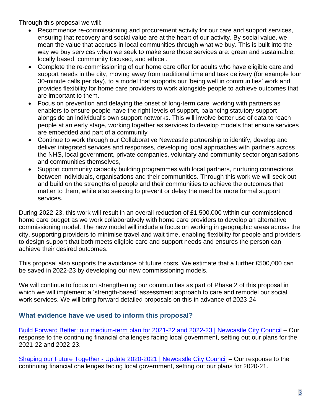Through this proposal we will:

- Recommence re-commissioning and procurement activity for our care and support services, ensuring that recovery and social value are at the heart of our activity. By social value, we mean the value that accrues in local communities through what we buy. This is built into the way we buy services when we seek to make sure those services are: green and sustainable, locally based, community focused, and ethical.
- Complete the re-commissioning of our home care offer for adults who have eligible care and support needs in the city, moving away from traditional time and task delivery (for example four 30-minute calls per day), to a model that supports our 'being well in communities' work and provides flexibility for home care providers to work alongside people to achieve outcomes that are important to them.
- Focus on prevention and delaying the onset of long-term care, working with partners as enablers to ensure people have the right levels of support, balancing statutory support alongside an individual's own support networks. This will involve better use of data to reach people at an early stage, working together as services to develop models that ensure services are embedded and part of a community
- Continue to work through our Collaborative Newcastle partnership to identify, develop and deliver integrated services and responses, developing local approaches with partners across the NHS, local government, private companies, voluntary and community sector organisations and communities themselves,
- Support community capacity building programmes with local partners, nurturing connections between individuals, organisations and their communities. Through this work we will seek out and build on the strengths of people and their communities to achieve the outcomes that matter to them, while also seeking to prevent or delay the need for more formal support services.

During 2022-23, this work will result in an overall reduction of £1,500,000 within our commissioned home care budget as we work collaboratively with home care providers to develop an alternative commissioning model. The new model will include a focus on working in geographic areas across the city, supporting providers to minimise travel and wait time, enabling flexibility for people and providers to design support that both meets eligible care and support needs and ensures the person can achieve their desired outcomes.

This proposal also supports the avoidance of future costs. We estimate that a further £500,000 can be saved in 2022-23 by developing our new commissioning models.

We will continue to focus on strengthening our communities as part of Phase 2 of this proposal in which we will implement a 'strength-based' assessment approach to care and remodel our social work services. We will bring forward detailed proposals on this in advance of 2023-24

## **What evidence have we used to inform this proposal?**

[Build Forward Better: our medium-term plan for 2021-22 and 2022-23 | Newcastle City Council](https://www.newcastle.gov.uk/local-government/budget-performance-and-spend/council-plan-and-budget/build-forward-better-our) – Our response to the continuing financial challenges facing local government, setting out our plans for the 2021-22 and 2022-23.

Shaping our Future Together - [Update 2020-2021 | Newcastle City Council](https://www.newcastle.gov.uk/local-government/budget-performance-and-spend/council-plan-and-budget/shaping-our-future-together) – Our response to the continuing financial challenges facing local government, setting out our plans for 2020-21.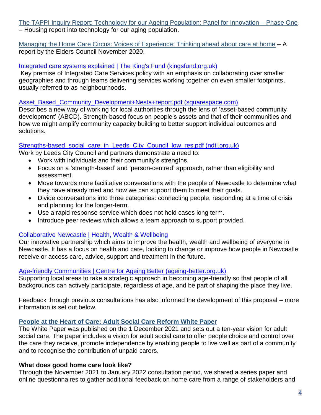[The TAPPI Inquiry Report: Technology for our Ageing Population: Panel for Innovation –](https://www.housinglin.org.uk/Topics/type/The-TAPPI-Inquiry-Report-Technology-for-our-Ageing-Population-Panel-for-Innovation-Phase-One/) Phase One – Housing report into technology for our aging population.

[Managing the Home Care Circus: Voices of Experience: Thinking ahead about care at home](https://www.elderscouncil.org.uk/upload/1811/EC%20Home%20Care%20Report%202020.pdf) – A report by the Elders Council November 2020.

## [Integrated care systems explained | The King's Fund \(kingsfund.org.uk\)](https://www.kingsfund.org.uk/publications/integrated-care-systems-explained)

Key premise of Integrated Care Services policy with an emphasis on collaborating over smaller geographies and through teams delivering services working together on even smaller footprints, usually referred to as neighbourhoods.

#### [Asset\\_Based\\_Community\\_Development+Nesta+report.pdf \(squarespace.com\)](https://static1.squarespace.com/static/5efa11c93b8070473caecd34/t/5f7477e80b9e3770a6b04459/1601468399279/Asset_Based_Community_Development+Nesta+report.pdf)

Describes a new way of working for local authorities through the lens of 'asset-based community development' (ABCD). Strength-based focus on people's assets and that of their communities and how we might amplify community capacity building to better support individual outcomes and solutions.

#### Strengths-based social care in Leeds City Council low res.pdf (ndti.org.uk)

Work by Leeds City Council and partners demonstrate a need to:

- Work with individuals and their community's strengths.
- Focus on a 'strength-based' and 'person-centred' approach, rather than eligibility and assessment.
- Move towards more facilitative conversations with the people of Newcastle to determine what they have already tried and how we can support them to meet their goals.
- Divide conversations into three categories: connecting people, responding at a time of crisis and planning for the longer-term.
- Use a rapid response service which does not hold cases long term.
- Introduce peer reviews which allows a team approach to support provided.

## [Collaborative Newcastle | Health, Wealth & Wellbeing](https://www.collaborativenewcastle.org/)

Our innovative partnership which aims to improve the health, wealth and wellbeing of everyone in Newcastle. It has a focus on health and care, looking to change or improve how people in Newcastle receive or access care, advice, support and treatment in the future.

#### [Age-friendly Communities | Centre for Ageing Better \(ageing-better.org.uk\)](https://ageing-better.org.uk/age-friendly-communities)

Supporting local areas to take a strategic approach in becoming age-friendly so that people of all backgrounds can actively participate, regardless of age, and be part of shaping the place they live.

Feedback through previous consultations has also informed the development of this proposal – more information is set out below.

## **[People at the Heart of Care: Adult Social Care Reform White Paper](https://www.gov.uk/government/publications/people-at-the-heart-of-care-adult-social-care-reform-white-paper/people-at-the-heart-of-care-adult-social-care-reform)**

The White Paper was published on the 1 December 2021 and sets out a ten-year vision for adult social care. The paper includes a vision for adult social care to offer people choice and control over the care they receive, promote independence by enabling people to live well as part of a community and to recognise the contribution of unpaid carers.

#### **What does good home care look like?**

Through the November 2021 to January 2022 consultation period, we shared a series paper and online questionnaires to gather additional feedback on home care from a range of stakeholders and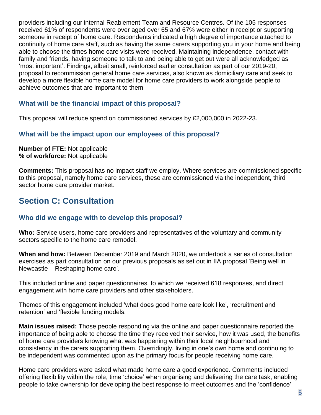providers including our internal Reablement Team and Resource Centres. Of the 105 responses received 61% of respondents were over aged over 65 and 67% were either in receipt or supporting someone in receipt of home care. Respondents indicated a high degree of importance attached to continuity of home care staff, such as having the same carers supporting you in your home and being able to choose the times home care visits were received. Maintaining independence, contact with family and friends, having someone to talk to and being able to get out were all acknowledged as 'most important'. Findings, albeit small, reinforced earlier consultation as part of our 2019-20, proposal to recommission general home care services, also known as domiciliary care and seek to develop a more flexible home care model for home care providers to work alongside people to achieve outcomes that are important to them

## **What will be the financial impact of this proposal?**

This proposal will reduce spend on commissioned services by £2,000,000 in 2022-23.

## **What will be the impact upon our employees of this proposal?**

**Number of FTE:** Not applicable **% of workforce:** Not applicable

**Comments:** This proposal has no impact staff we employ. Where services are commissioned specific to this proposal, namely home care services, these are commissioned via the independent, third sector home care provider market.

# **Section C: Consultation**

## **Who did we engage with to develop this proposal?**

**Who:** Service users, home care providers and representatives of the voluntary and community sectors specific to the home care remodel.

**When and how:** Between December 2019 and March 2020, we undertook a series of consultation exercises as part consultation on our previous proposals as set out in IIA proposal 'Being well in Newcastle – Reshaping home care'.

This included online and paper questionnaires, to which we received 618 responses, and direct engagement with home care providers and other stakeholders.

Themes of this engagement included 'what does good home care look like', 'recruitment and retention' and 'flexible funding models.

**Main issues raised:** Those people responding via the online and paper questionnaire reported the importance of being able to choose the time they received their service, how it was used, the benefits of home care providers knowing what was happening within their local neighbourhood and consistency in the carers supporting them. Overridingly, living in one's own home and continuing to be independent was commented upon as the primary focus for people receiving home care.

Home care providers were asked what made home care a good experience. Comments included offering flexibility within the role, time 'choice' when organising and delivering the care task, enabling people to take ownership for developing the best response to meet outcomes and the 'confidence'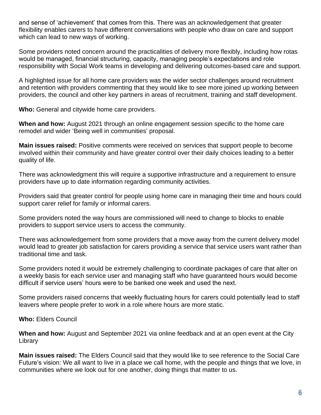and sense of 'achievement' that comes from this. There was an acknowledgement that greater flexibility enables carers to have different conversations with people who draw on care and support which can lead to new ways of working.

Some providers noted concern around the practicalities of delivery more flexibly, including how rotas would be managed, financial structuring, capacity, managing people's expectations and role responsibility with Social Work teams in developing and delivering outcomes-based care and support.

A highlighted issue for all home care providers was the wider sector challenges around recruitment and retention with providers commenting that they would like to see more joined up working between providers, the council and other key partners in areas of recruitment, training and staff development.

**Who:** General and citywide home care providers.

**When and how:** August 2021 through an online engagement session specific to the home care remodel and wider 'Being well in communities' proposal.

**Main issues raised:** Positive comments were received on services that support people to become involved within their community and have greater control over their daily choices leading to a better quality of life.

There was acknowledgment this will require a supportive infrastructure and a requirement to ensure providers have up to date information regarding community activities.

Providers said that greater control for people using home care in managing their time and hours could support carer relief for family or informal carers.

Some providers noted the way hours are commissioned will need to change to blocks to enable providers to support service users to access the community.

There was acknowledgement from some providers that a move away from the current delivery model would lead to greater job satisfaction for carers providing a service that service users want rather than traditional time and task.

Some providers noted it would be extremely challenging to coordinate packages of care that alter on a weekly basis for each service user and managing staff who have guaranteed hours would become difficult if service users' hours were to be banked one week and used the next.

Some providers raised concerns that weekly fluctuating hours for carers could potentially lead to staff leavers where people prefer to work in a role where hours are more static.

## **Who:** Elders Council

**When and how:** August and September 2021 via online feedback and at an open event at the City Library

**Main issues raised:** The Elders Council said that they would like to see reference to the Social Care Future's vision: We all want to live in a place we call home, with the people and things that we love, in communities where we look out for one another, doing things that matter to us.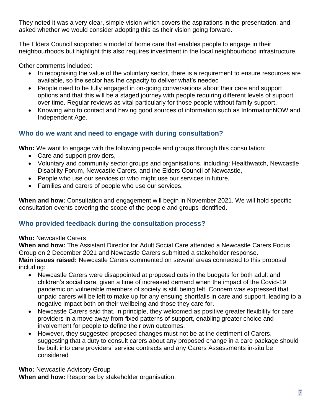They noted it was a very clear, simple vision which covers the aspirations in the presentation, and asked whether we would consider adopting this as their vision going forward.

The Elders Council supported a model of home care that enables people to engage in their neighbourhoods but highlight this also requires investment in the local neighbourhood infrastructure.

Other comments included:

- In recognising the value of the voluntary sector, there is a requirement to ensure resources are available, so the sector has the capacity to deliver what's needed
- People need to be fully engaged in on-going conversations about their care and support options and that this will be a staged journey with people requiring different levels of support over time. Regular reviews as vital particularly for those people without family support.
- Knowing who to contact and having good sources of information such as InformationNOW and Independent Age.

## **Who do we want and need to engage with during consultation?**

**Who:** We want to engage with the following people and groups through this consultation:

- Care and support providers,
- Voluntary and community sector groups and organisations, including: Healthwatch, Newcastle Disability Forum, Newcastle Carers, and the Elders Council of Newcastle,
- People who use our services or who might use our services in future,
- Families and carers of people who use our services.

**When and how:** Consultation and engagement will begin in November 2021. We will hold specific consultation events covering the scope of the people and groups identified.

## **Who provided feedback during the consultation process?**

## **Who:** Newcastle Carers

**When and how:** The Assistant Director for Adult Social Care attended a Newcastle Carers Focus Group on 2 December 2021 and Newcastle Carers submitted a stakeholder response. **Main issues raised:** Newcastle Carers commented on several areas connected to this proposal including:

- Newcastle Carers were disappointed at proposed cuts in the budgets for both adult and children's social care, given a time of increased demand when the impact of the Covid-19 pandemic on vulnerable members of society is still being felt. Concern was expressed that unpaid carers will be left to make up for any ensuing shortfalls in care and support, leading to a negative impact both on their wellbeing and those they care for.
- Newcastle Carers said that, in principle, they welcomed as positive greater flexibility for care providers in a move away from fixed patterns of support, enabling greater choice and involvement for people to define their own outcomes.
- However, they suggested proposed changes must not be at the detriment of Carers, suggesting that a duty to consult carers about any proposed change in a care package should be built into care providers' service contracts and any Carers Assessments in-situ be considered

**Who:** Newcastle Advisory Group

**When and how:** Response by stakeholder organisation.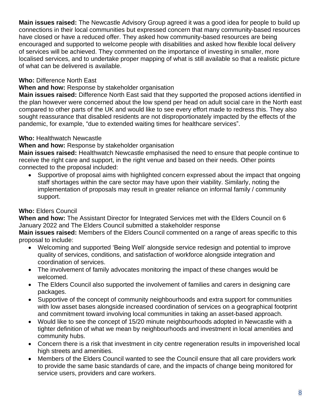**Main issues raised:** The Newcastle Advisory Group agreed it was a good idea for people to build up connections in their local communities but expressed concern that many community-based resources have closed or have a reduced offer. They asked how community-based resources are being encouraged and supported to welcome people with disabilities and asked how flexible local delivery of services will be achieved. They commented on the importance of investing in smaller, more localised services, and to undertake proper mapping of what is still available so that a realistic picture of what can be delivered is available.

## **Who:** Difference North East

## **When and how:** Response by stakeholder organisation

**Main issues raised:** Difference North East said that they supported the proposed actions identified in the plan however were concerned about the low spend per head on adult social care in the North east compared to other parts of the UK and would like to see every effort made to redress this. They also sought reassurance that disabled residents are not disproportionately impacted by the effects of the pandemic, for example, "due to extended waiting times for healthcare services".

## **Who:** Healthwatch Newcastle

## **When and how:** Response by stakeholder organisation

**Main issues raised:** Healthwatch Newcastle emphasised the need to ensure that people continue to receive the right care and support, in the right venue and based on their needs. Other points connected to the proposal included:

• Supportive of proposal aims with highlighted concern expressed about the impact that ongoing staff shortages within the care sector may have upon their viability. Similarly, noting the implementation of proposals may result in greater reliance on informal family / community support.

## **Who:** Elders Council

**When and how:** The Assistant Director for Integrated Services met with the Elders Council on 6 January 2022 and The Elders Council submitted a stakeholder response

**Main issues raised:** Members of the Elders Council commented on a range of areas specific to this proposal to include:

- Welcoming and supported 'Being Well' alongside service redesign and potential to improve quality of services, conditions, and satisfaction of workforce alongside integration and coordination of services.
- The involvement of family advocates monitoring the impact of these changes would be welcomed.
- The Elders Council also supported the involvement of families and carers in designing care packages.
- Supportive of the concept of community neighbourhoods and extra support for communities with low asset bases alongside increased coordination of services on a geographical footprint and commitment toward involving local communities in taking an asset-based approach.
- Would like to see the concept of 15/20 minute neighbourhoods adopted in Newcastle with a tighter definition of what we mean by neighbourhoods and investment in local amenities and community hubs.
- Concern there is a risk that investment in city centre regeneration results in impoverished local high streets and amenities.
- Members of the Elders Council wanted to see the Council ensure that all care providers work to provide the same basic standards of care, and the impacts of change being monitored for service users, providers and care workers.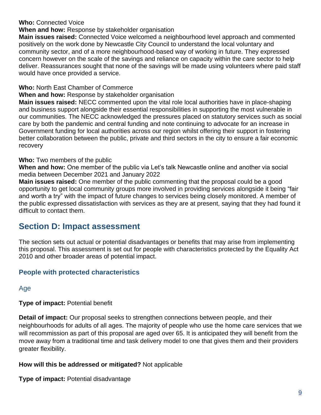#### **Who:** Connected Voice

#### **When and how:** Response by stakeholder organisation

**Main issues raised:** Connected Voice welcomed a neighbourhood level approach and commented positively on the work done by Newcastle City Council to understand the local voluntary and community sector, and of a more neighbourhood-based way of working in future. They expressed concern however on the scale of the savings and reliance on capacity within the care sector to help deliver. Reassurances sought that none of the savings will be made using volunteers where paid staff would have once provided a service.

#### **Who:** North East Chamber of Commerce

#### **When and how:** Response by stakeholder organisation

**Main issues raised:** NECC commented upon the vital role local authorities have in place-shaping and business support alongside their essential responsibilities in supporting the most vulnerable in our communities. The NECC acknowledged the pressures placed on statutory services such as social care by both the pandemic and central funding and note continuing to advocate for an increase in Government funding for local authorities across our region whilst offering their support in fostering better collaboration between the public, private and third sectors in the city to ensure a fair economic recovery

## **Who:** Two members of the public

**When and how:** One member of the public via Let's talk Newcastle online and another via social media between December 2021 and January 2022

**Main issues raised:** One member of the public commenting that the proposal could be a good opportunity to get local community groups more involved in providing services alongside it being "fair and worth a try" with the impact of future changes to services being closely monitored. A member of the public expressed dissatisfaction with services as they are at present, saying that they had found it difficult to contact them.

## **Section D: Impact assessment**

The section sets out actual or potential disadvantages or benefits that may arise from implementing this proposal. This assessment is set out for people with characteristics protected by the Equality Act 2010 and other broader areas of potential impact.

## **People with protected characteristics**

## Age

**Type of impact:** Potential benefit

**Detail of impact:** Our proposal seeks to strengthen connections between people, and their neighbourhoods for adults of all ages. The majority of people who use the home care services that we will recommission as part of this proposal are aged over 65. It is anticipated they will benefit from the move away from a traditional time and task delivery model to one that gives them and their providers greater flexibility.

## **How will this be addressed or mitigated?** Not applicable

**Type of impact:** Potential disadvantage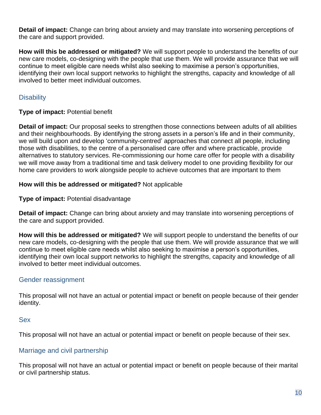**Detail of impact:** Change can bring about anxiety and may translate into worsening perceptions of the care and support provided.

**How will this be addressed or mitigated?** We will support people to understand the benefits of our new care models, co-designing with the people that use them. We will provide assurance that we will continue to meet eligible care needs whilst also seeking to maximise a person's opportunities, identifying their own local support networks to highlight the strengths, capacity and knowledge of all involved to better meet individual outcomes.

## **Disability**

## **Type of impact:** Potential benefit

**Detail of impact:** Our proposal seeks to strengthen those connections between adults of all abilities and their neighbourhoods. By identifying the strong assets in a person's life and in their community, we will build upon and develop 'community-centred' approaches that connect all people, including those with disabilities, to the centre of a personalised care offer and where practicable, provide alternatives to statutory services. Re-commissioning our home care offer for people with a disability we will move away from a traditional time and task delivery model to one providing flexibility for our home care providers to work alongside people to achieve outcomes that are important to them

## **How will this be addressed or mitigated?** Not applicable

## **Type of impact:** Potential disadvantage

**Detail of impact:** Change can bring about anxiety and may translate into worsening perceptions of the care and support provided.

**How will this be addressed or mitigated?** We will support people to understand the benefits of our new care models, co-designing with the people that use them. We will provide assurance that we will continue to meet eligible care needs whilst also seeking to maximise a person's opportunities, identifying their own local support networks to highlight the strengths, capacity and knowledge of all involved to better meet individual outcomes.

## Gender reassignment

This proposal will not have an actual or potential impact or benefit on people because of their gender identity.

## Sex

This proposal will not have an actual or potential impact or benefit on people because of their sex.

## Marriage and civil partnership

This proposal will not have an actual or potential impact or benefit on people because of their marital or civil partnership status.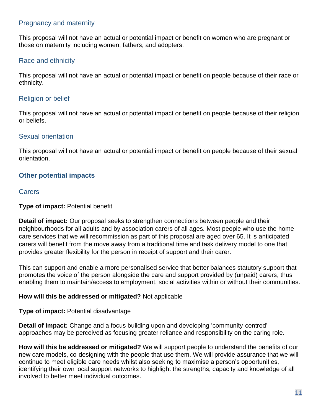## Pregnancy and maternity

This proposal will not have an actual or potential impact or benefit on women who are pregnant or those on maternity including women, fathers, and adopters.

## Race and ethnicity

This proposal will not have an actual or potential impact or benefit on people because of their race or ethnicity.

## Religion or belief

This proposal will not have an actual or potential impact or benefit on people because of their religion or beliefs.

## Sexual orientation

This proposal will not have an actual or potential impact or benefit on people because of their sexual orientation.

## **Other potential impacts**

## **Carers**

#### **Type of impact:** Potential benefit

**Detail of impact:** Our proposal seeks to strengthen connections between people and their neighbourhoods for all adults and by association carers of all ages. Most people who use the home care services that we will recommission as part of this proposal are aged over 65. It is anticipated carers will benefit from the move away from a traditional time and task delivery model to one that provides greater flexibility for the person in receipt of support and their carer.

This can support and enable a more personalised service that better balances statutory support that promotes the voice of the person alongside the care and support provided by (unpaid) carers, thus enabling them to maintain/access to employment, social activities within or without their communities.

#### **How will this be addressed or mitigated?** Not applicable

#### **Type of impact:** Potential disadvantage

**Detail of impact:** Change and a focus building upon and developing 'community-centred' approaches may be perceived as focusing greater reliance and responsibility on the caring role.

**How will this be addressed or mitigated?** We will support people to understand the benefits of our new care models, co-designing with the people that use them. We will provide assurance that we will continue to meet eligible care needs whilst also seeking to maximise a person's opportunities, identifying their own local support networks to highlight the strengths, capacity and knowledge of all involved to better meet individual outcomes.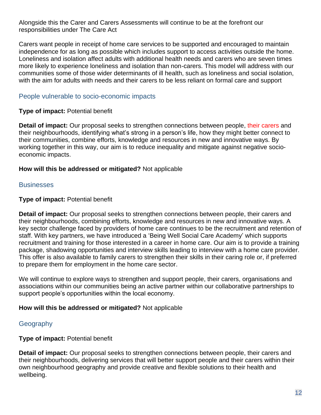Alongside this the Carer and Carers Assessments will continue to be at the forefront our responsibilities under The Care Act

Carers want people in receipt of home care services to be supported and encouraged to maintain independence for as long as possible which includes support to access activities outside the home. Loneliness and isolation affect adults with additional health needs and carers who are seven times more likely to experience loneliness and isolation than non-carers. This model will address with our communities some of those wider determinants of ill health, such as loneliness and social isolation, with the aim for adults with needs and their carers to be less reliant on formal care and support

## People vulnerable to socio-economic impacts

## **Type of impact:** Potential benefit

**Detail of impact:** Our proposal seeks to strengthen connections between people, their carers and their neighbourhoods, identifying what's strong in a person's life, how they might better connect to their communities, combine efforts, knowledge and resources in new and innovative ways. By working together in this way, our aim is to reduce inequality and mitigate against negative socioeconomic impacts.

## **How will this be addressed or mitigated?** Not applicable

## **Businesses**

## **Type of impact:** Potential benefit

**Detail of impact:** Our proposal seeks to strengthen connections between people, their carers and their neighbourhoods, combining efforts, knowledge and resources in new and innovative ways. A key sector challenge faced by providers of home care continues to be the recruitment and retention of staff. With key partners, we have introduced a 'Being Well Social Care Academy' which supports recruitment and training for those interested in a career in home care. Our aim is to provide a training package, shadowing opportunities and interview skills leading to interview with a home care provider. This offer is also available to family carers to strengthen their skills in their caring role or, if preferred to prepare them for employment in the home care sector.

We will continue to explore ways to strengthen and support people, their carers, organisations and associations within our communities being an active partner within our collaborative partnerships to support people's opportunities within the local economy.

## **How will this be addressed or mitigated?** Not applicable

## **Geography**

## **Type of impact:** Potential benefit

**Detail of impact:** Our proposal seeks to strengthen connections between people, their carers and their neighbourhoods, delivering services that will better support people and their carers within their own neighbourhood geography and provide creative and flexible solutions to their health and wellbeing.